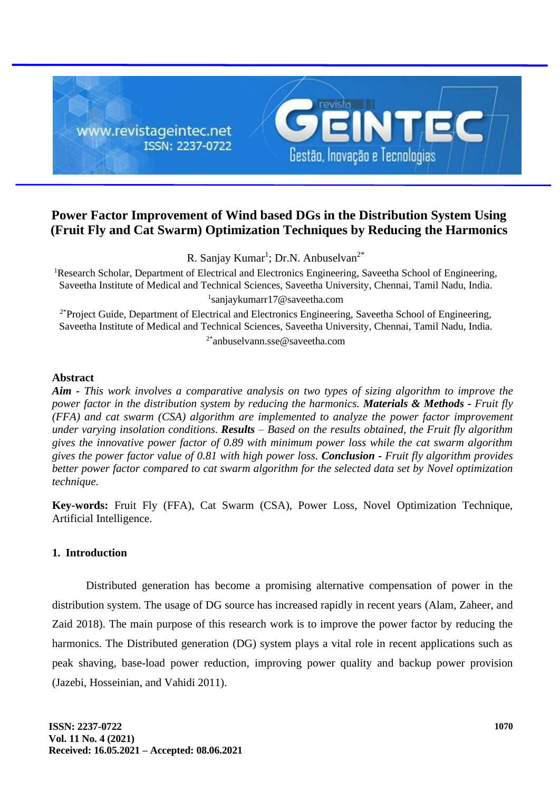

# **Power Factor Improvement of Wind based DGs in the Distribution System Using (Fruit Fly and Cat Swarm) Optimization Techniques by Reducing the Harmonics**

R. Sanjay Kumar<sup>1</sup>; Dr.N. Anbuselvan<sup>2\*</sup>

<sup>1</sup>Research Scholar, Department of Electrical and Electronics Engineering, Saveetha School of Engineering, Saveetha Institute of Medical and Technical Sciences, Saveetha University, Chennai, Tamil Nadu, India. 1 sanjaykumarr17@saveetha.com

<sup>2\*</sup>Project Guide, Department of Electrical and Electronics Engineering, Saveetha School of Engineering, Saveetha Institute of Medical and Technical Sciences, Saveetha University, Chennai, Tamil Nadu, India. 2\*anbuselvann.sse@saveetha.com

# **Abstract**

*Aim - This work involves a comparative analysis on two types of sizing algorithm to improve the power factor in the distribution system by reducing the harmonics. Materials & Methods - Fruit fly (FFA) and cat swarm (CSA) algorithm are implemented to analyze the power factor improvement under varying insolation conditions. Results – Based on the results obtained, the Fruit fly algorithm gives the innovative power factor of 0.89 with minimum power loss while the cat swarm algorithm gives the power factor value of 0.81 with high power loss. Conclusion - Fruit fly algorithm provides better power factor compared to cat swarm algorithm for the selected data set by Novel optimization technique.*

**Key-words:** Fruit Fly (FFA), Cat Swarm (CSA), Power Loss, Novel Optimization Technique, Artificial Intelligence.

# **1. Introduction**

Distributed generation has become a promising alternative compensation of power in the distribution system. The usage of DG source has increased rapidly in recent years (Alam, Zaheer, and Zaid 2018). The main purpose of this research work is to improve the power factor by reducing the harmonics. The Distributed generation (DG) system plays a vital role in recent applications such as peak shaving, base-load power reduction, improving power quality and backup power provision (Jazebi, Hosseinian, and Vahidi 2011).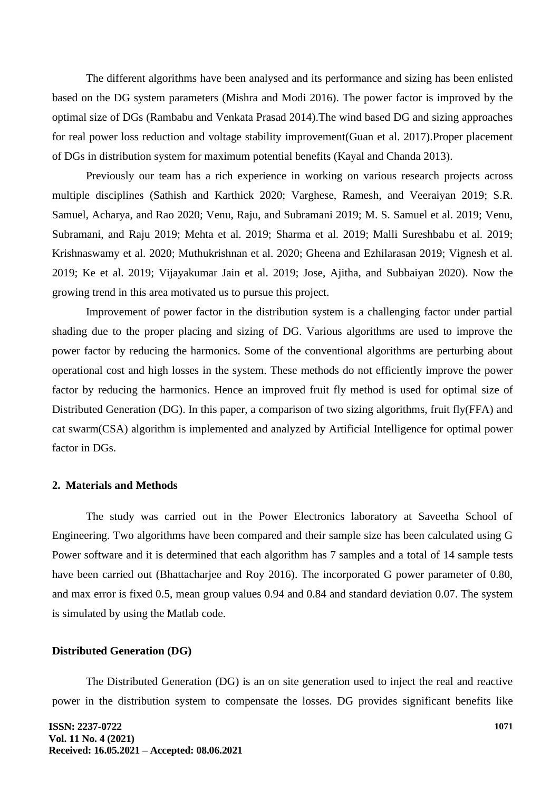The different algorithms have been analysed and its performance and sizing has been enlisted based on the DG system parameters (Mishra and Modi 2016). The power factor is improved by the optimal size of DGs (Rambabu and Venkata Prasad 2014).The wind based DG and sizing approaches for real power loss reduction and voltage stability improvement(Guan et al. 2017).Proper placement of DGs in distribution system for maximum potential benefits (Kayal and Chanda 2013).

Previously our team has a rich experience in working on various research projects across multiple disciplines (Sathish and Karthick 2020; Varghese, Ramesh, and Veeraiyan 2019; S.R. Samuel, Acharya, and Rao 2020; Venu, Raju, and Subramani 2019; M. S. Samuel et al. 2019; Venu, Subramani, and Raju 2019; Mehta et al. 2019; Sharma et al. 2019; Malli Sureshbabu et al. 2019; Krishnaswamy et al. 2020; Muthukrishnan et al. 2020; Gheena and Ezhilarasan 2019; Vignesh et al. 2019; Ke et al. 2019; Vijayakumar Jain et al. 2019; Jose, Ajitha, and Subbaiyan 2020). Now the growing trend in this area motivated us to pursue this project.

Improvement of power factor in the distribution system is a challenging factor under partial shading due to the proper placing and sizing of DG. Various algorithms are used to improve the power factor by reducing the harmonics. Some of the conventional algorithms are perturbing about operational cost and high losses in the system. These methods do not efficiently improve the power factor by reducing the harmonics. Hence an improved fruit fly method is used for optimal size of Distributed Generation (DG). In this paper, a comparison of two sizing algorithms, fruit fly(FFA) and cat swarm(CSA) algorithm is implemented and analyzed by Artificial Intelligence for optimal power factor in DGs.

### **2. Materials and Methods**

The study was carried out in the Power Electronics laboratory at Saveetha School of Engineering. Two algorithms have been compared and their sample size has been calculated using G Power software and it is determined that each algorithm has 7 samples and a total of 14 sample tests have been carried out (Bhattacharjee and Roy 2016). The incorporated G power parameter of 0.80, and max error is fixed 0.5, mean group values 0.94 and 0.84 and standard deviation 0.07. The system is simulated by using the Matlab code.

### **Distributed Generation (DG)**

The Distributed Generation (DG) is an on site generation used to inject the real and reactive power in the distribution system to compensate the losses. DG provides significant benefits like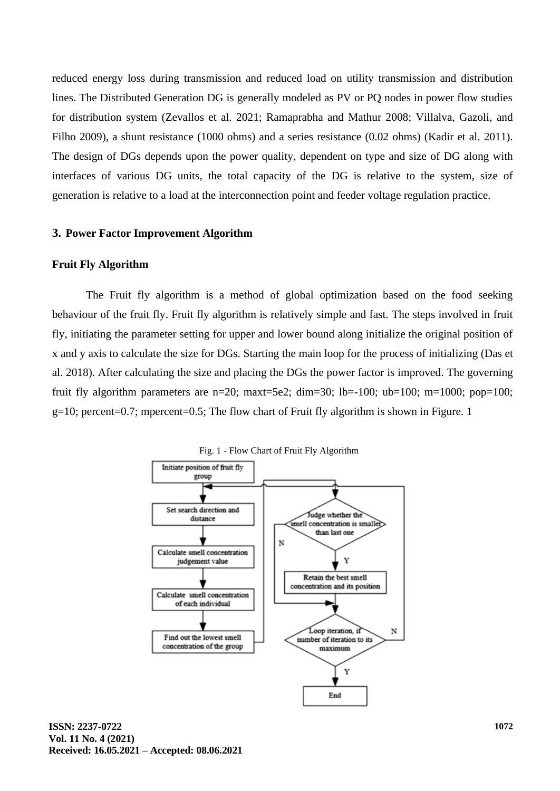reduced energy loss during transmission and reduced load on utility transmission and distribution lines. The Distributed Generation DG is generally modeled as PV or PQ nodes in power flow studies for distribution system (Zevallos et al. 2021; Ramaprabha and Mathur 2008; Villalva, Gazoli, and Filho 2009), a shunt resistance (1000 ohms) and a series resistance (0.02 ohms) (Kadir et al. 2011). The design of DGs depends upon the power quality, dependent on type and size of DG along with interfaces of various DG units, the total capacity of the DG is relative to the system, size of generation is relative to a load at the interconnection point and feeder voltage regulation practice.

### **3. Power Factor Improvement Algorithm**

### **Fruit Fly Algorithm**

The Fruit fly algorithm is a method of global optimization based on the food seeking behaviour of the fruit fly. Fruit fly algorithm is relatively simple and fast. The steps involved in fruit fly, initiating the parameter setting for upper and lower bound along initialize the original position of x and y axis to calculate the size for DGs. Starting the main loop for the process of initializing (Das et al. 2018). After calculating the size and placing the DGs the power factor is improved. The governing fruit fly algorithm parameters are n=20; maxt=5e2; dim=30; lb=-100; ub=100; m=1000; pop=100;  $g=10$ ; percent=0.7; mpercent=0.5; The flow chart of Fruit fly algorithm is shown in Figure. 1



Fig. 1 - Flow Chart of Fruit Fly Algorithm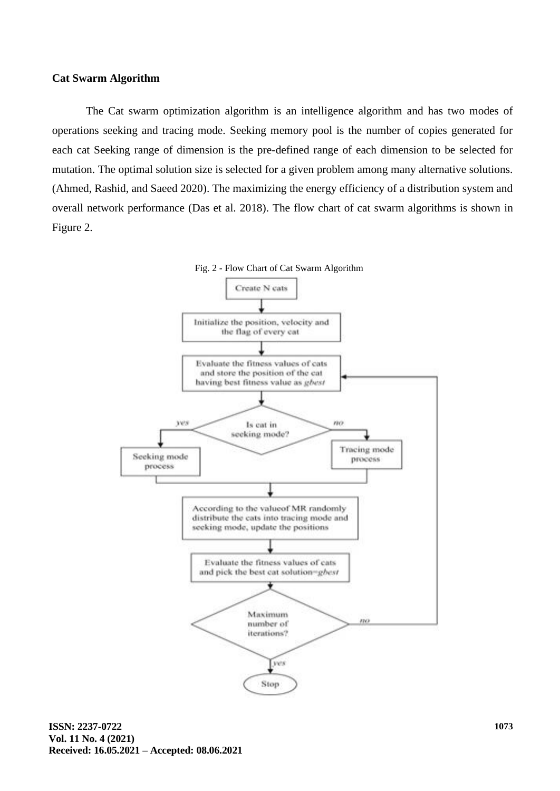### **Cat Swarm Algorithm**

The Cat swarm optimization algorithm is an intelligence algorithm and has two modes of operations seeking and tracing mode. Seeking memory pool is the number of copies generated for each cat Seeking range of dimension is the pre-defined range of each dimension to be selected for mutation. The optimal solution size is selected for a given problem among many alternative solutions. (Ahmed, Rashid, and Saeed 2020). The maximizing the energy efficiency of a distribution system and overall network performance (Das et al. 2018). The flow chart of cat swarm algorithms is shown in Figure 2.

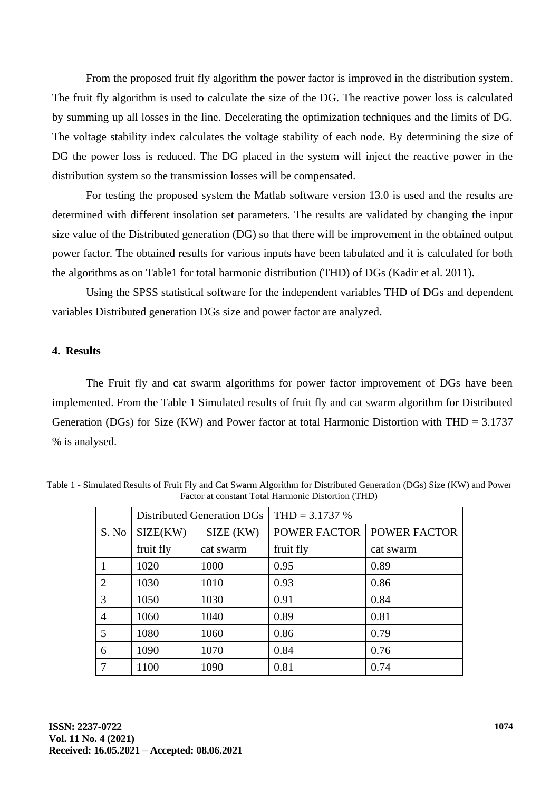From the proposed fruit fly algorithm the power factor is improved in the distribution system. The fruit fly algorithm is used to calculate the size of the DG. The reactive power loss is calculated by summing up all losses in the line. Decelerating the optimization techniques and the limits of DG. The voltage stability index calculates the voltage stability of each node. By determining the size of DG the power loss is reduced. The DG placed in the system will inject the reactive power in the distribution system so the transmission losses will be compensated.

For testing the proposed system the Matlab software version 13.0 is used and the results are determined with different insolation set parameters. The results are validated by changing the input size value of the Distributed generation (DG) so that there will be improvement in the obtained output power factor. The obtained results for various inputs have been tabulated and it is calculated for both the algorithms as on Table1 for total harmonic distribution (THD) of DGs (Kadir et al. 2011).

Using the SPSS statistical software for the independent variables THD of DGs and dependent variables Distributed generation DGs size and power factor are analyzed.

#### **4. Results**

The Fruit fly and cat swarm algorithms for power factor improvement of DGs have been implemented. From the Table 1 Simulated results of fruit fly and cat swarm algorithm for Distributed Generation (DGs) for Size (KW) and Power factor at total Harmonic Distortion with THD = 3.1737 % is analysed.

|                |           | Distributed Generation DGs | $THD = 3.1737 %$    |              |  |  |  |
|----------------|-----------|----------------------------|---------------------|--------------|--|--|--|
| S. No          | SIZE(KW)  | SIZE (KW)                  | <b>POWER FACTOR</b> | POWER FACTOR |  |  |  |
|                | fruit fly | cat swarm                  | fruit fly           | cat swarm    |  |  |  |
|                | 1020      | 1000                       | 0.95                | 0.89         |  |  |  |
| $\overline{2}$ | 1030      | 1010                       | 0.93                | 0.86         |  |  |  |
| 3              | 1050      | 1030                       | 0.91                | 0.84         |  |  |  |
| $\overline{4}$ | 1060      | 1040                       | 0.89                | 0.81         |  |  |  |
| 5              | 1080      | 1060                       | 0.86                | 0.79         |  |  |  |
| 6              | 1090      | 1070                       | 0.84                | 0.76         |  |  |  |
|                | 1100      | 1090                       | 0.81                | 0.74         |  |  |  |

Table 1 - Simulated Results of Fruit Fly and Cat Swarm Algorithm for Distributed Generation (DGs) Size (KW) and Power Factor at constant Total Harmonic Distortion (THD)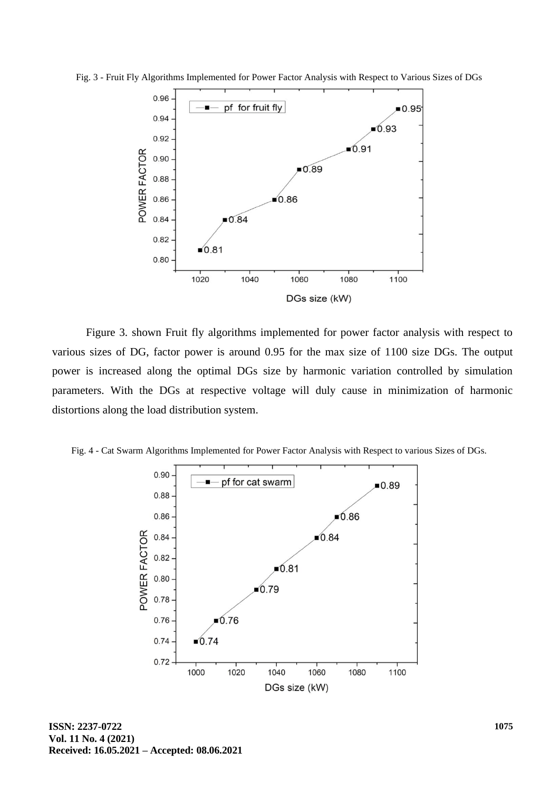

Fig. 3 - Fruit Fly Algorithms Implemented for Power Factor Analysis with Respect to Various Sizes of DGs

Figure 3. shown Fruit fly algorithms implemented for power factor analysis with respect to various sizes of DG, factor power is around 0.95 for the max size of 1100 size DGs. The output power is increased along the optimal DGs size by harmonic variation controlled by simulation parameters. With the DGs at respective voltage will duly cause in minimization of harmonic distortions along the load distribution system.



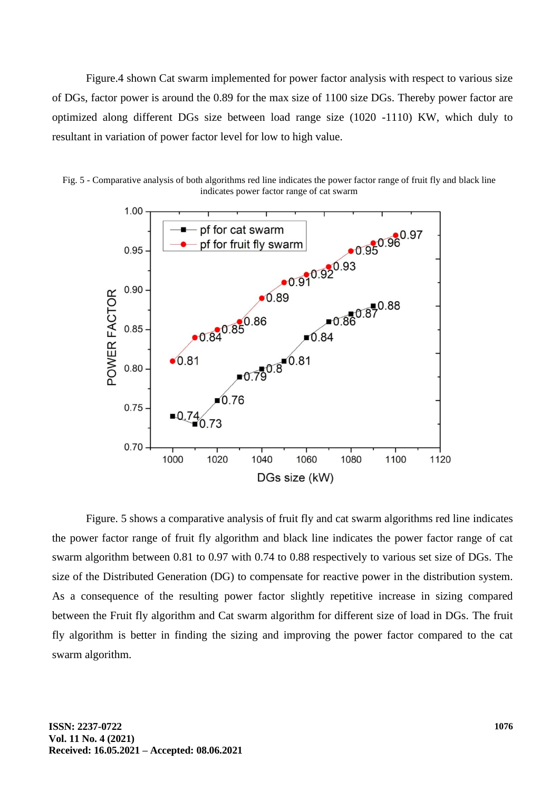Figure.4 shown Cat swarm implemented for power factor analysis with respect to various size of DGs, factor power is around the 0.89 for the max size of 1100 size DGs. Thereby power factor are optimized along different DGs size between load range size (1020 -1110) KW, which duly to resultant in variation of power factor level for low to high value.



Fig. 5 - Comparative analysis of both algorithms red line indicates the power factor range of fruit fly and black line indicates power factor range of cat swarm

Figure. 5 shows a comparative analysis of fruit fly and cat swarm algorithms red line indicates the power factor range of fruit fly algorithm and black line indicates the power factor range of cat swarm algorithm between 0.81 to 0.97 with 0.74 to 0.88 respectively to various set size of DGs. The size of the Distributed Generation (DG) to compensate for reactive power in the distribution system. As a consequence of the resulting power factor slightly repetitive increase in sizing compared between the Fruit fly algorithm and Cat swarm algorithm for different size of load in DGs. The fruit fly algorithm is better in finding the sizing and improving the power factor compared to the cat swarm algorithm.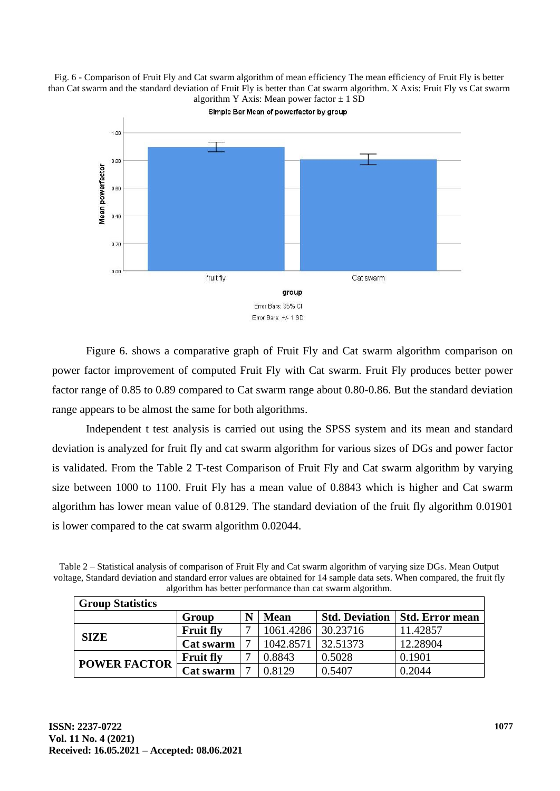Fig. 6 - Comparison of Fruit Fly and Cat swarm algorithm of mean efficiency The mean efficiency of Fruit Fly is better than Cat swarm and the standard deviation of Fruit Fly is better than Cat swarm algorithm. X Axis: Fruit Fly vs Cat swarm algorithm Y Axis: Mean power factor  $\pm$  1 SD



Figure 6. shows a comparative graph of Fruit Fly and Cat swarm algorithm comparison on power factor improvement of computed Fruit Fly with Cat swarm. Fruit Fly produces better power factor range of 0.85 to 0.89 compared to Cat swarm range about 0.80-0.86. But the standard deviation range appears to be almost the same for both algorithms.

Independent t test analysis is carried out using the SPSS system and its mean and standard deviation is analyzed for fruit fly and cat swarm algorithm for various sizes of DGs and power factor is validated. From the Table 2 T-test Comparison of Fruit Fly and Cat swarm algorithm by varying size between 1000 to 1100. Fruit Fly has a mean value of 0.8843 which is higher and Cat swarm algorithm has lower mean value of 0.8129. The standard deviation of the fruit fly algorithm 0.01901 is lower compared to the cat swarm algorithm 0.02044.

| Table 2 – Statistical analysis of comparison of Fruit Fly and Cat swarm algorithm of varying size DGs. Mean Output       |  |
|--------------------------------------------------------------------------------------------------------------------------|--|
| voltage, Standard deviation and standard error values are obtained for 14 sample data sets. When compared, the fruit fly |  |
| algorithm has better performance than cat swarm algorithm.                                                               |  |

| <b>Group Statistics</b> |                  |   |             |                       |                 |  |
|-------------------------|------------------|---|-------------|-----------------------|-----------------|--|
|                         | Group            | N | <b>Mean</b> | <b>Std. Deviation</b> | Std. Error mean |  |
| <b>SIZE</b>             | <b>Fruit fly</b> |   | 1061.4286   | 30.23716              | 11.42857        |  |
|                         | Cat swarm        |   | 1042.8571   | 32.51373              | 12.28904        |  |
| <b>POWER FACTOR</b>     | <b>Fruit fly</b> |   | 0.8843      | 0.5028                | 0.1901          |  |
|                         | <b>Cat swarm</b> |   | 0.8129      | 0.5407                | 0.2044          |  |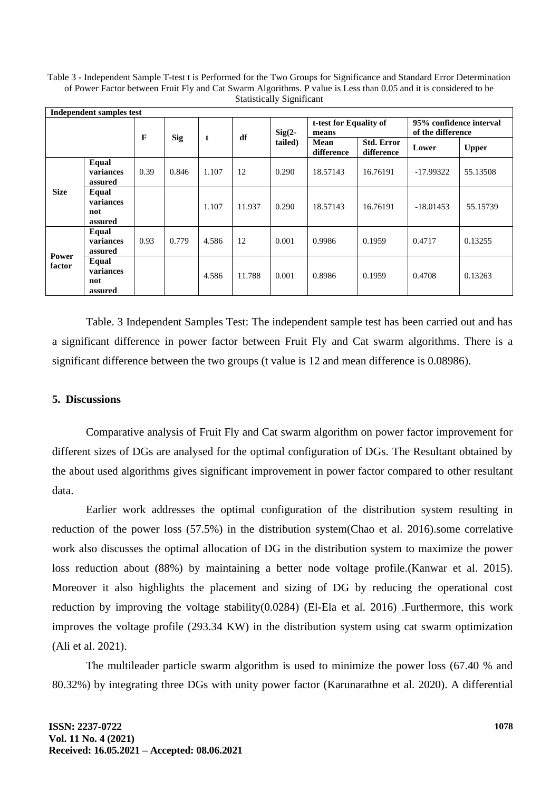Table 3 - Independent Sample T-test t is Performed for the Two Groups for Significance and Standard Error Determination of Power Factor between Fruit Fly and Cat Swarm Algorithms. P value is Less than 0.05 and it is considered to be Statistically Significant

| Independent samples test |                                      |                 |       |       |           |                                 |                    |                                              |             |              |
|--------------------------|--------------------------------------|-----------------|-------|-------|-----------|---------------------------------|--------------------|----------------------------------------------|-------------|--------------|
|                          |                                      | F<br><b>Sig</b> |       | df    | $Sig(2 -$ | t-test for Equality of<br>means |                    | 95% confidence interval<br>of the difference |             |              |
|                          |                                      |                 |       | t     |           | tailed)                         | Mean<br>difference | <b>Std. Error</b><br>difference              | Lower       | <b>Upper</b> |
| <b>Size</b>              | <b>Equal</b><br>variances<br>assured | 0.39            | 0.846 | 1.107 | 12        | 0.290                           | 18.57143           | 16.76191                                     | $-17.99322$ | 55.13508     |
|                          | Equal<br>variances<br>not<br>assured |                 |       | 1.107 | 11.937    | 0.290                           | 18.57143           | 16.76191                                     | $-18.01453$ | 55.15739     |
| Power<br>factor          | Equal<br>variances<br>assured        | 0.93            | 0.779 | 4.586 | 12        | 0.001                           | 0.9986             | 0.1959                                       | 0.4717      | 0.13255      |
|                          | Equal<br>variances<br>not<br>assured |                 |       | 4.586 | 11.788    | 0.001                           | 0.8986             | 0.1959                                       | 0.4708      | 0.13263      |

Table. 3 Independent Samples Test: The independent sample test has been carried out and has a significant difference in power factor between Fruit Fly and Cat swarm algorithms. There is a significant difference between the two groups (t value is 12 and mean difference is 0.08986).

### **5. Discussions**

Comparative analysis of Fruit Fly and Cat swarm algorithm on power factor improvement for different sizes of DGs are analysed for the optimal configuration of DGs. The Resultant obtained by the about used algorithms gives significant improvement in power factor compared to other resultant data.

Earlier work addresses the optimal configuration of the distribution system resulting in reduction of the power loss (57.5%) in the distribution system(Chao et al. 2016).some correlative work also discusses the optimal allocation of DG in the distribution system to maximize the power loss reduction about (88%) by maintaining a better node voltage profile.(Kanwar et al. 2015). Moreover it also highlights the placement and sizing of DG by reducing the operational cost reduction by improving the voltage stability(0.0284) (El-Ela et al. 2016) .Furthermore, this work improves the voltage profile (293.34 KW) in the distribution system using cat swarm optimization (Ali et al. 2021).

The multileader particle swarm algorithm is used to minimize the power loss (67.40 % and 80.32%) by integrating three DGs with unity power factor (Karunarathne et al. 2020). A differential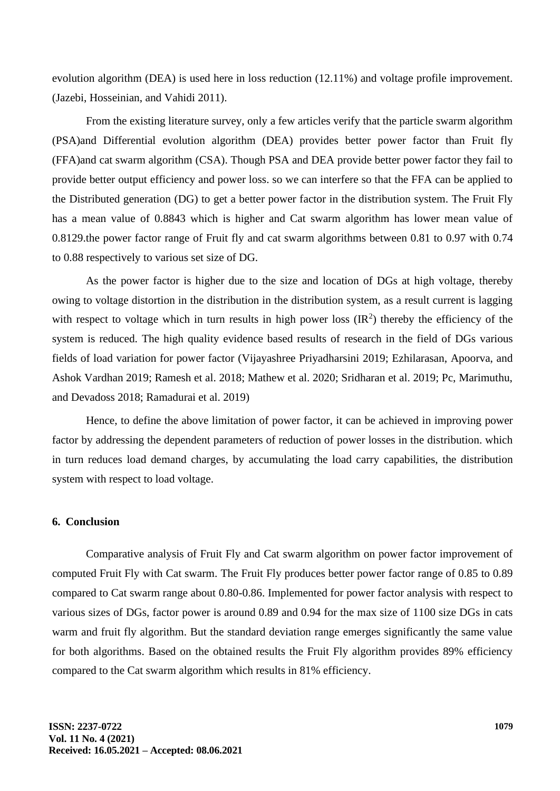evolution algorithm (DEA) is used here in loss reduction (12.11%) and voltage profile improvement. (Jazebi, Hosseinian, and Vahidi 2011).

From the existing literature survey, only a few articles verify that the particle swarm algorithm (PSA)and Differential evolution algorithm (DEA) provides better power factor than Fruit fly (FFA)and cat swarm algorithm (CSA). Though PSA and DEA provide better power factor they fail to provide better output efficiency and power loss. so we can interfere so that the FFA can be applied to the Distributed generation (DG) to get a better power factor in the distribution system. The Fruit Fly has a mean value of 0.8843 which is higher and Cat swarm algorithm has lower mean value of 0.8129.the power factor range of Fruit fly and cat swarm algorithms between 0.81 to 0.97 with 0.74 to 0.88 respectively to various set size of DG.

As the power factor is higher due to the size and location of DGs at high voltage, thereby owing to voltage distortion in the distribution in the distribution system, as a result current is lagging with respect to voltage which in turn results in high power loss  $(\mathbb{R}^2)$  thereby the efficiency of the system is reduced. The high quality evidence based results of research in the field of DGs various fields of load variation for power factor (Vijayashree Priyadharsini 2019; Ezhilarasan, Apoorva, and Ashok Vardhan 2019; Ramesh et al. 2018; Mathew et al. 2020; Sridharan et al. 2019; Pc, Marimuthu, and Devadoss 2018; Ramadurai et al. 2019)

Hence, to define the above limitation of power factor, it can be achieved in improving power factor by addressing the dependent parameters of reduction of power losses in the distribution. which in turn reduces load demand charges, by accumulating the load carry capabilities, the distribution system with respect to load voltage.

### **6. Conclusion**

Comparative analysis of Fruit Fly and Cat swarm algorithm on power factor improvement of computed Fruit Fly with Cat swarm. The Fruit Fly produces better power factor range of 0.85 to 0.89 compared to Cat swarm range about 0.80-0.86. Implemented for power factor analysis with respect to various sizes of DGs, factor power is around 0.89 and 0.94 for the max size of 1100 size DGs in cats warm and fruit fly algorithm. But the standard deviation range emerges significantly the same value for both algorithms. Based on the obtained results the Fruit Fly algorithm provides 89% efficiency compared to the Cat swarm algorithm which results in 81% efficiency.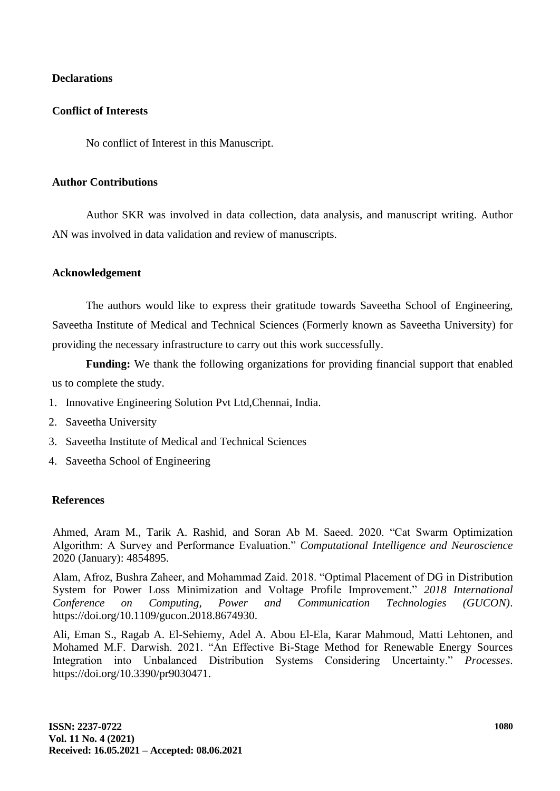# **Declarations**

# **Conflict of Interests**

No conflict of Interest in this Manuscript.

# **Author Contributions**

Author SKR was involved in data collection, data analysis, and manuscript writing. Author AN was involved in data validation and review of manuscripts.

# **Acknowledgement**

The authors would like to express their gratitude towards Saveetha School of Engineering, Saveetha Institute of Medical and Technical Sciences (Formerly known as Saveetha University) for providing the necessary infrastructure to carry out this work successfully.

**Funding:** We thank the following organizations for providing financial support that enabled us to complete the study.

- 1. Innovative Engineering Solution Pvt Ltd,Chennai, India.
- 2. Saveetha University
- 3. Saveetha Institute of Medical and Technical Sciences
- 4. Saveetha School of Engineering

# **References**

Ahmed, Aram M., Tarik A. Rashid, and Soran Ab M. Saeed. 2020. "Cat Swarm Optimization Algorithm: A Survey and Performance Evaluation." *Computational Intelligence and Neuroscience* 2020 (January): 4854895.

Alam, Afroz, Bushra Zaheer, and Mohammad Zaid. 2018. "Optimal Placement of DG in Distribution System for Power Loss Minimization and Voltage Profile Improvement." *2018 International Conference on Computing, Power and Communication Technologies (GUCON)*. https://doi.org/10.1109/gucon.2018.8674930.

Ali, Eman S., Ragab A. El-Sehiemy, Adel A. Abou El-Ela, Karar Mahmoud, Matti Lehtonen, and Mohamed M.F. Darwish. 2021. "An Effective Bi-Stage Method for Renewable Energy Sources Integration into Unbalanced Distribution Systems Considering Uncertainty." *Processes*. https://doi.org/10.3390/pr9030471.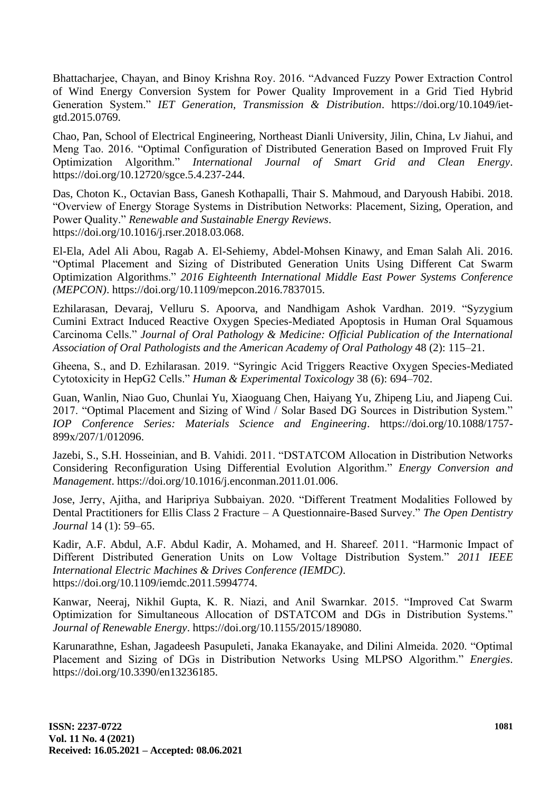Bhattacharjee, Chayan, and Binoy Krishna Roy. 2016. "Advanced Fuzzy Power Extraction Control of Wind Energy Conversion System for Power Quality Improvement in a Grid Tied Hybrid Generation System." *IET Generation, Transmission & Distribution*. https://doi.org/10.1049/ietgtd.2015.0769.

Chao, Pan, School of Electrical Engineering, Northeast Dianli University, Jilin, China, Lv Jiahui, and Meng Tao. 2016. "Optimal Configuration of Distributed Generation Based on Improved Fruit Fly Optimization Algorithm." *International Journal of Smart Grid and Clean Energy*. https://doi.org/10.12720/sgce.5.4.237-244.

Das, Choton K., Octavian Bass, Ganesh Kothapalli, Thair S. Mahmoud, and Daryoush Habibi. 2018. "Overview of Energy Storage Systems in Distribution Networks: Placement, Sizing, Operation, and Power Quality." *Renewable and Sustainable Energy Reviews*. https://doi.org/10.1016/j.rser.2018.03.068.

El-Ela, Adel Ali Abou, Ragab A. El-Sehiemy, Abdel-Mohsen Kinawy, and Eman Salah Ali. 2016. "Optimal Placement and Sizing of Distributed Generation Units Using Different Cat Swarm Optimization Algorithms." *2016 Eighteenth International Middle East Power Systems Conference (MEPCON)*. https://doi.org/10.1109/mepcon.2016.7837015.

Ezhilarasan, Devaraj, Velluru S. Apoorva, and Nandhigam Ashok Vardhan. 2019. "Syzygium Cumini Extract Induced Reactive Oxygen Species-Mediated Apoptosis in Human Oral Squamous Carcinoma Cells." *Journal of Oral Pathology & Medicine: Official Publication of the International Association of Oral Pathologists and the American Academy of Oral Pathology* 48 (2): 115–21.

Gheena, S., and D. Ezhilarasan. 2019. "Syringic Acid Triggers Reactive Oxygen Species-Mediated Cytotoxicity in HepG2 Cells." *Human & Experimental Toxicology* 38 (6): 694–702.

Guan, Wanlin, Niao Guo, Chunlai Yu, Xiaoguang Chen, Haiyang Yu, Zhipeng Liu, and Jiapeng Cui. 2017. "Optimal Placement and Sizing of Wind / Solar Based DG Sources in Distribution System." *IOP Conference Series: Materials Science and Engineering*. https://doi.org/10.1088/1757- 899x/207/1/012096.

Jazebi, S., S.H. Hosseinian, and B. Vahidi. 2011. "DSTATCOM Allocation in Distribution Networks Considering Reconfiguration Using Differential Evolution Algorithm." *Energy Conversion and Management*. https://doi.org/10.1016/j.enconman.2011.01.006.

Jose, Jerry, Ajitha, and Haripriya Subbaiyan. 2020. "Different Treatment Modalities Followed by Dental Practitioners for Ellis Class 2 Fracture – A Questionnaire-Based Survey." *The Open Dentistry Journal* 14 (1): 59–65.

Kadir, A.F. Abdul, A.F. Abdul Kadir, A. Mohamed, and H. Shareef. 2011. "Harmonic Impact of Different Distributed Generation Units on Low Voltage Distribution System." *2011 IEEE International Electric Machines & Drives Conference (IEMDC)*. https://doi.org/10.1109/iemdc.2011.5994774.

Kanwar, Neeraj, Nikhil Gupta, K. R. Niazi, and Anil Swarnkar. 2015. "Improved Cat Swarm Optimization for Simultaneous Allocation of DSTATCOM and DGs in Distribution Systems." *Journal of Renewable Energy*. https://doi.org/10.1155/2015/189080.

Karunarathne, Eshan, Jagadeesh Pasupuleti, Janaka Ekanayake, and Dilini Almeida. 2020. "Optimal Placement and Sizing of DGs in Distribution Networks Using MLPSO Algorithm." *Energies*. https://doi.org/10.3390/en13236185.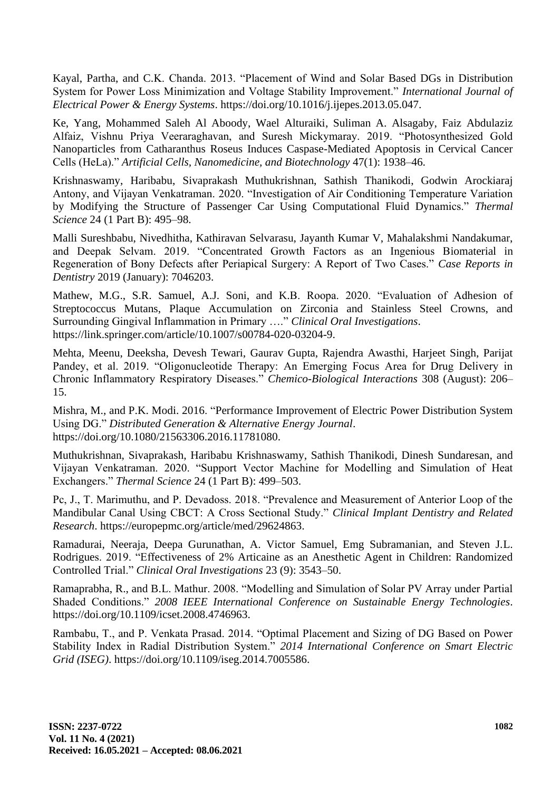Kayal, Partha, and C.K. Chanda. 2013. "Placement of Wind and Solar Based DGs in Distribution System for Power Loss Minimization and Voltage Stability Improvement." *International Journal of Electrical Power & Energy Systems*. https://doi.org/10.1016/j.ijepes.2013.05.047.

Ke, Yang, Mohammed Saleh Al Aboody, Wael Alturaiki, Suliman A. Alsagaby, Faiz Abdulaziz Alfaiz, Vishnu Priya Veeraraghavan, and Suresh Mickymaray. 2019. "Photosynthesized Gold Nanoparticles from Catharanthus Roseus Induces Caspase-Mediated Apoptosis in Cervical Cancer Cells (HeLa)." *Artificial Cells, Nanomedicine, and Biotechnology* 47(1): 1938–46.

Krishnaswamy, Haribabu, Sivaprakash Muthukrishnan, Sathish Thanikodi, Godwin Arockiaraj Antony, and Vijayan Venkatraman. 2020. "Investigation of Air Conditioning Temperature Variation by Modifying the Structure of Passenger Car Using Computational Fluid Dynamics." *Thermal Science* 24 (1 Part B): 495–98.

Malli Sureshbabu, Nivedhitha, Kathiravan Selvarasu, Jayanth Kumar V, Mahalakshmi Nandakumar, and Deepak Selvam. 2019. "Concentrated Growth Factors as an Ingenious Biomaterial in Regeneration of Bony Defects after Periapical Surgery: A Report of Two Cases." *Case Reports in Dentistry* 2019 (January): 7046203.

Mathew, M.G., S.R. Samuel, A.J. Soni, and K.B. Roopa. 2020. "Evaluation of Adhesion of Streptococcus Mutans, Plaque Accumulation on Zirconia and Stainless Steel Crowns, and Surrounding Gingival Inflammation in Primary …." *Clinical Oral Investigations*. https://link.springer.com/article/10.1007/s00784-020-03204-9.

Mehta, Meenu, Deeksha, Devesh Tewari, Gaurav Gupta, Rajendra Awasthi, Harjeet Singh, Parijat Pandey, et al. 2019. "Oligonucleotide Therapy: An Emerging Focus Area for Drug Delivery in Chronic Inflammatory Respiratory Diseases." *Chemico-Biological Interactions* 308 (August): 206– 15.

Mishra, M., and P.K. Modi. 2016. "Performance Improvement of Electric Power Distribution System Using DG." *Distributed Generation & Alternative Energy Journal*. https://doi.org/10.1080/21563306.2016.11781080.

Muthukrishnan, Sivaprakash, Haribabu Krishnaswamy, Sathish Thanikodi, Dinesh Sundaresan, and Vijayan Venkatraman. 2020. "Support Vector Machine for Modelling and Simulation of Heat Exchangers." *Thermal Science* 24 (1 Part B): 499–503.

Pc, J., T. Marimuthu, and P. Devadoss. 2018. "Prevalence and Measurement of Anterior Loop of the Mandibular Canal Using CBCT: A Cross Sectional Study." *Clinical Implant Dentistry and Related Research*. https://europepmc.org/article/med/29624863.

Ramadurai, Neeraja, Deepa Gurunathan, A. Victor Samuel, Emg Subramanian, and Steven J.L. Rodrigues. 2019. "Effectiveness of 2% Articaine as an Anesthetic Agent in Children: Randomized Controlled Trial." *Clinical Oral Investigations* 23 (9): 3543–50.

Ramaprabha, R., and B.L. Mathur. 2008. "Modelling and Simulation of Solar PV Array under Partial Shaded Conditions." *2008 IEEE International Conference on Sustainable Energy Technologies*. https://doi.org/10.1109/icset.2008.4746963.

Rambabu, T., and P. Venkata Prasad. 2014. "Optimal Placement and Sizing of DG Based on Power Stability Index in Radial Distribution System." *2014 International Conference on Smart Electric Grid (ISEG)*. https://doi.org/10.1109/iseg.2014.7005586.